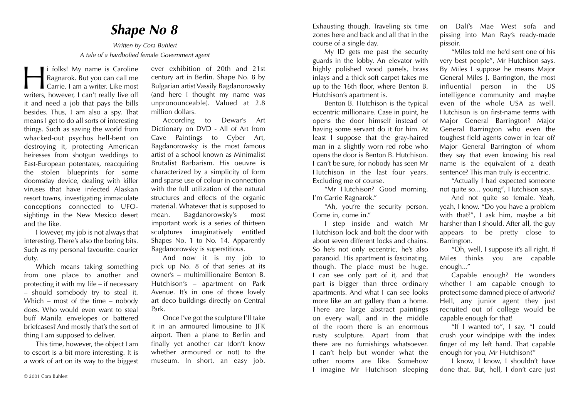## *Shape No 8*

*Written by Cora Buhlert A tale of a hardbolied female Government agent*

i folks! My name is Caroline<br>Ragnarok. But you can call me<br>Carrie. I am a writer. Like most<br>writers. however. I can't really live off Ragnarok. But you can call me Carrie. I am a writer. Like most writers, however, I can't really live off it and need a job that pays the bills besides. Thus, I am also a spy. That means I get to do all sorts of interesting things. Such as saving the world from whacked-out psychos hell-bent on destroying it, protecting American heiresses from shotgun weddings to East-European potentates, reacquiring the stolen blueprints for some doomsday device, dealing with killer viruses that have infected Alaskan resort towns, investigating immaculate conceptions connected to UFOsightings in the New Mexico desert and the like.

However, my job is not always that interesting. There's also the boring bits. Such as my personal favourite: courier duty.

Which means taking something from one place to another and protecting it with my life – if necessary – should somebody try to steal it. Which – most of the time – nobody does. Who would even want to steal buff Manila envelopes or battered briefcases? And mostly that's the sort of thing I am supposed to deliver.

This time, however, the object I am to escort is a bit more interesting. It is a work of art on its way to the biggest ever exhibition of 20th and 21st century art in Berlin. Shape No. 8 by Bulgarian artist Vassily Bagdanorowsky (and here I thought my name was unpronounceable). Valued at 2.8 million dollars.

According to Dewar's Art Dictionary on DVD - All of Art from Cave Paintings to Cyber Art, Bagdanorowsky is the most famous artist of a school known as Minimalist Brutalist Barbarism. His oeuvre is characterized by a simplicity of form and sparse use of colour in connection with the full utilization of the natural structures and effects of the organic material. Whatever that is supposed to mean. Bagdanorowsky's most important work is a series of thirteen sculptures imaginatively entitled Shapes No. 1 to No. 14. Apparently Bagdanorowsky is superstitious.

And now it is my job to pick up No. 8 of that series at its owner's – multimillionaire Benton B. Hutchison's – apartment on Park Avenue. It's in one of those lovely art deco buildings directly on Central Park.

Once I've got the sculpture I'll take it in an armoured limousine to JFK airport. Then a plane to Berlin and finally yet another car (don't know whether armoured or not) to the museum. In short, an easy job.

© 2001 Cora Buhlert

Exhausting though. Traveling six time zones here and back and all that in the course of a single day.

My ID gets me past the security guards in the lobby. An elevator with highly polished wood panels, brass inlays and a thick soft carpet takes me up to the 16th floor, where Benton B. Hutchison's apartment is.

Benton B. Hutchison is the typical eccentric millionaire. Case in point, he opens the door himself instead of having some servant do it for him. At least I suppose that the gray-haired man in a slightly worn red robe who opens the door is Benton B. Hutchison. I can't be sure, for nobody has seen Mr Hutchison in the last four years. Excluding me of course.

"Mr Hutchison? Good morning. I'm Carrie Ragnarok."

"Ah, you're the security person. Come in, come in."

I step inside and watch Mr Hutchison lock and bolt the door with about seven different locks and chains. So he's not only eccentric, he's also paranoid. His apartment is fascinating, though. The place must be huge. I can see only part of it, and that part is bigger than three ordinary apartments. And what I can see looks more like an art gallery than a home. There are large abstract paintings on every wall, and in the middle of the room there is an enormous rusty sculpture. Apart from that there are no furnishings whatsoever. I can't help but wonder what the other rooms are like. Somehow I imagine Mr Hutchison sleeping on Dalí's Mae West sofa and pissing into Man Ray's ready-made pissoir.

"Miles told me he'd sent one of his very best people", Mr Hutchison says. By Miles I suppose he means Major General Miles J. Barrington, the most influential person in the US intelligence community and maybe even of the whole USA as well. Hutchison is on first-name terms with Major General Barrington? Major General Barrington who even the toughest field agents cower in fear of? Major General Barrington of whom they say that even knowing his real name is the equivalent of a death sentence? This man truly is eccentric.

"Actually I had expected someone not quite so... young", Hutchison says.

And not quite so female. Yeah, yeah, I know. "Do you have a problem with that?", I ask him, maybe a bit harsher than I should. After all, the guy appears to be pretty close to Barrington.

"Oh, well, I suppose it's all right. If Miles thinks you are capable enough..."

Capable enough? He wonders whether I am capable enough to protect some damned piece of artwork? Hell, any junior agent they just recruited out of college would be capable enough for that!

"If I wanted to", I say, "I could crush your windpipe with the index finger of my left hand. That capable enough for you, Mr Hutchison?"

I know, I know, I shouldn't have done that. But, hell, I don't care just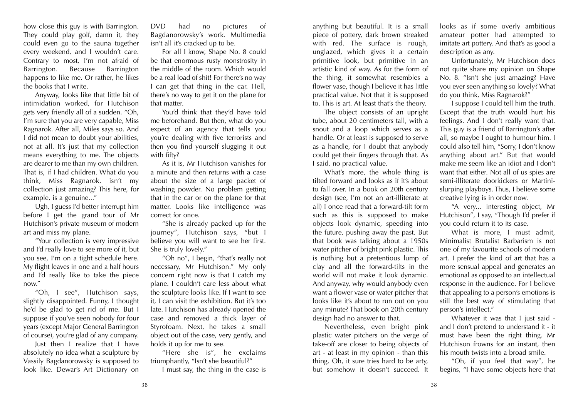how close this guy is with Barrington. They could play golf, damn it, they could even go to the sauna together every weekend, and I wouldn't care. Contrary to most, I'm not afraid of Barrington. Because Barrington happens to like me. Or rather, he likes the books that I write.

Anyway, looks like that little bit of intimidation worked, for Hutchison gets very friendly all of a sudden. "Oh, I'm sure that you are very capable, Miss Ragnarok. After all, Miles says so. And I did not mean to doubt your abilities, not at all. It's just that my collection means everything to me. The objects are dearer to me than my own children. That is, if I had children. What do you think, Miss Ragnarok, isn't my collection just amazing? This here, for example, is a genuine..."

Ugh, I guess I'd better interrupt him before I get the grand tour of Mr Hutchison's private museum of modern art and miss my plane.

"Your collection is very impressive and I'd really love to see more of it, but you see, I'm on a tight schedule here. My flight leaves in one and a half hours and I'd really like to take the piece now."

"Oh, I see", Hutchison says, slightly disappointed. Funny, I thought he'd be glad to get rid of me. But I suppose if you've seen nobody for four years (except Major General Barrington of course), you're glad of any company.

Just then I realize that I have absolutely no idea what a sculpture by Vassily Bagdanorowsky is supposed to look like. Dewar's Art Dictionary on

DVD had no pictures of Bagdanorowsky's work. Multimedia isn't all it's cracked up to be.

For all I know, Shape No. 8 could be that enormous rusty monstrosity in the middle of the room. Which would be a real load of shit! For there's no way I can get that thing in the car. Hell, there's no way to get it on the plane for that matter.

You'd think that they'd have told me beforehand. But then, what do you expect of an agency that tells you you're dealing with five terrorists and then you find yourself slugging it out with fifty?

As it is, Mr Hutchison vanishes for a minute and then returns with a case about the size of a large packet of washing powder. No problem getting that in the car or on the plane for that matter. Looks like intelligence was correct for once.

"She is already packed up for the journey", Hutchison says, "but I believe you will want to see her first. She is truly lovely."

"Oh no", I begin, "that's really not necessary, Mr Hutchison." My only concern right now is that I catch my plane. I couldn't care less about what the sculpture looks like. If I want to see it, I can visit the exhibition. But it's too late. Hutchison has already opened the case and removed a thick layer of Styrofoam. Next, he takes a small object out of the case, very gently, and holds it up for me to see.

"Here she is", he exclaims triumphantly, "Isn't she beautiful?"

I must say, the thing in the case is

anything but beautiful. It is a small piece of pottery, dark brown streaked with red. The surface is rough, unglazed, which gives it a certain primitive look, but primitive in an artistic kind of way. As for the form of the thing, it somewhat resembles a flower vase, though I believe it has little practical value. Not that it is supposed to. This is art. At least that's the theory.

The object consists of an upright tube, about 20 centimeters tall, with a snout and a loop which serves as a handle. Or at least is supposed to serve as a handle, for I doubt that anybody could get their fingers through that. As I said, no practical value.

What's more, the whole thing is tilted forward and looks as if it's about to fall over. In a book on 20th century design (see, I'm not an art-illiterate at all) I once read that a forward-tilt form such as this is supposed to make objects look dynamic, speeding into the future, pushing away the past. But that book was talking about a 1950s water pitcher of bright pink plastic. This is nothing but a pretentious lump of clay and all the forward-tilts in the world will not make it look dynamic. And anyway, why would anybody even want a flower vase or water pitcher that looks like it's about to run out on you any minute? That book on 20th century design had no answer to that.

Nevertheless, even bright pink plastic water pitchers on the verge of take-off are closer to being objects of art - at least in my opinion - than this thing. Oh, it sure tries hard to be arty, but somehow it doesn't succeed. It looks as if some overly ambitious amateur potter had attempted to imitate art pottery. And that's as good a description as any.

Unfortunately, Mr Hutchison does not quite share my opinion on Shape No. 8. "Isn't she just amazing? Have you ever seen anything so lovely? What do you think, Miss Ragnarok?"

I suppose I could tell him the truth. Except that the truth would hurt his feelings. And I don't really want that. This guy is a friend of Barrington's after all, so maybe I ought to humour him. I could also tell him, "Sorry, I don't know anything about art." But that would make me seem like an idiot and I don't want that either. Not all of us spies are semi-illiterate doorkickers or Martinislurping playboys. Thus, I believe some creative lying is in order now.

"A very... interesting object, Mr Hutchison", I say, "Though I'd prefer if you could return it to its case.

What is more, I must admit, Minimalist Brutalist Barbarism is not one of my favourite schools of modern art. I prefer the kind of art that has a more sensual appeal and generates an emotional as opposed to an intellectual response in the audience. For I believe that appealing to a person's emotions is still the best way of stimulating that person's intellect."

Whatever it was that I just said and I don't pretend to understand it - it must have been the right thing. Mr Hutchison frowns for an instant, then his mouth twists into a broad smile.

"Oh, if you feel that way", he begins, "I have some objects here that